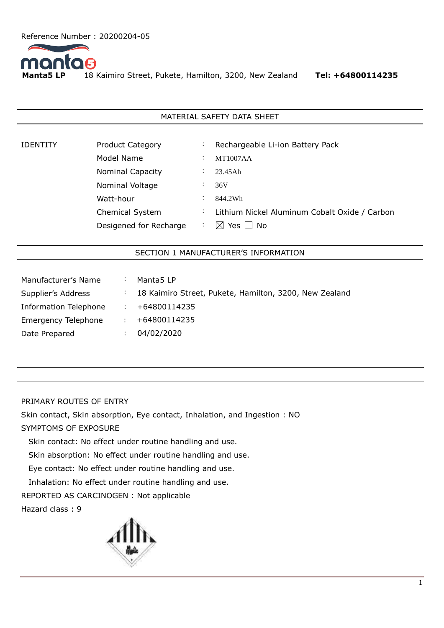

18 Kaimiro Street, Pukete, Hamilton, 3200, New Zealand Tel: +64800114235

## MATERIAL SAFETY DATA SHEET

| <b>IDENTITY</b> | <b>Product Category</b> | $\cdot$   | Rechargeable Li-ion Battery Pack              |
|-----------------|-------------------------|-----------|-----------------------------------------------|
|                 | Model Name              | $\bullet$ | <b>MT1007AA</b>                               |
|                 | <b>Nominal Capacity</b> | $\cdot$   | 23.45Ah                                       |
|                 | Nominal Voltage         |           | 36V                                           |
|                 | Watt-hour               | $\cdot$   | 844.2Wh                                       |
|                 | Chemical System         | ÷         | Lithium Nickel Aluminum Cobalt Oxide / Carbon |
|                 | Desigened for Recharge  |           | Yes  <br>No<br>IXI                            |

## SECTION 1 MANUFACTURER'S INFORMATION

| $\ddot{\cdot}$       | Manta <sub>5</sub> LP                                  |
|----------------------|--------------------------------------------------------|
| $\ddot{\phantom{0}}$ | 18 Kaimiro Street, Pukete, Hamilton, 3200, New Zealand |
|                      | +64800114235                                           |
|                      | +64800114235                                           |
|                      | 04/02/2020                                             |
|                      |                                                        |

## PRIMARY ROUTES OF ENTRY

Skin contact, Skin absorption, Eye contact, Inhalation, and Ingestion : NO SYMPTOMS OF EXPOSURE

Skin contact: No effect under routine handling and use.

Skin absorption: No effect under routine handling and use.

Eye contact: No effect under routine handling and use.

Inhalation: No effect under routine handling and use.

REPORTED AS CARCINOGEN : Not applicable

Hazard class : 9